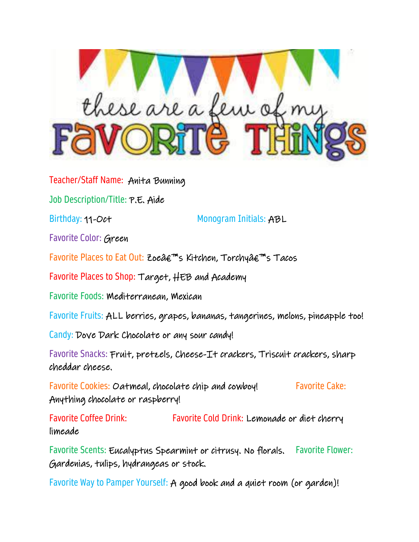

Teacher/Staff Name: Anita Bunning

Job Description/Title: P.E. Aide

Birthday: 11-Oct Monogram Initials: ABL

Favorite Color: Green

Favorite Places to Eat Out: Zoeâ€<sup>™</sup>s Kitchen, Torchyâ€<sup>™</sup>s Tacos

Favorite Places to Shop: Target, HEB and Academy

Favorite Foods: Mediterranean, Mexican

Favorite Fruits: ALL berries, grapes, bananas, tangerines, melons, pineapple too!

Candy: Dove Dark Chocolate or any sour candy!

Favorite Snacks: Fruit, pretzels, Cheese-It crackers, Triscuit crackers, sharp cheddar cheese.

Favorite Cookies: Oatmeal, chocolate chip and cowboy! Favorite Cake: Anything chocolate or raspberry!

Favorite Coffee Drink: Favorite Cold Drink: Lemonade or diet cherry limeade

Favorite Scents: Eucalyptus Spearmint or citrusy. No florals. Favorite Flower: Gardenias, tulips, hydrangeas or stock.

Favorite Way to Pamper Yourself: A good book and a quiet room (or garden)!